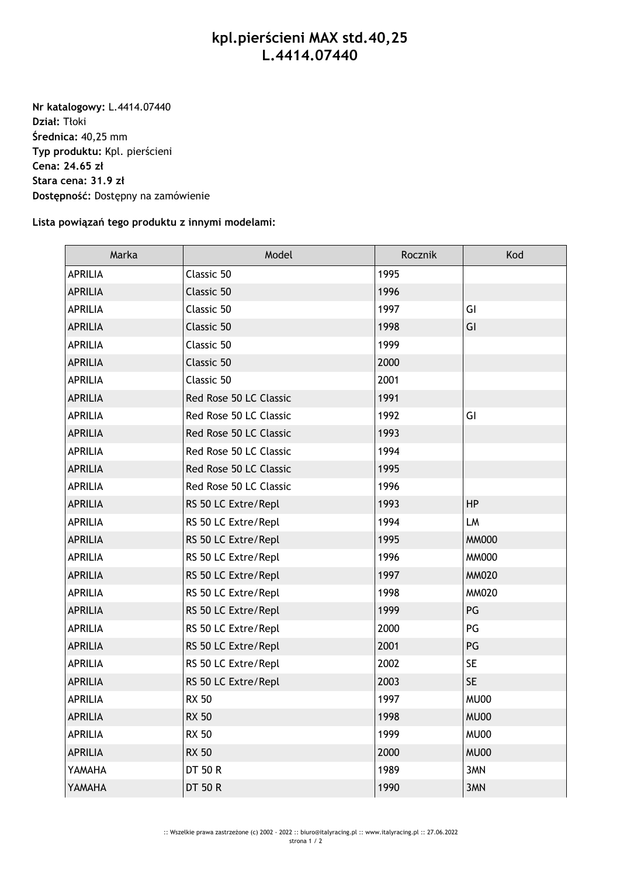## **kpl.pierścieni MAX std.40,25 L.4414.07440**

**Nr katalogowy:** L.4414.07440 **Dział:** Tłoki **Średnica:** 40,25 mm **Typ produktu:** Kpl. pierścieni **Cena: 24.65 zł Stara cena: 31.9 zł Dostępność:** Dostępny na zamówienie

## **Lista powiązań tego produktu z innymi modelami:**

| Marka          | Model                  | Rocznik | Kod          |
|----------------|------------------------|---------|--------------|
| <b>APRILIA</b> | Classic 50             | 1995    |              |
| <b>APRILIA</b> | Classic 50             | 1996    |              |
| <b>APRILIA</b> | Classic 50             | 1997    | GI           |
| <b>APRILIA</b> | Classic 50             | 1998    | GI           |
| <b>APRILIA</b> | Classic 50             | 1999    |              |
| <b>APRILIA</b> | Classic 50             | 2000    |              |
| <b>APRILIA</b> | Classic 50             | 2001    |              |
| <b>APRILIA</b> | Red Rose 50 LC Classic | 1991    |              |
| <b>APRILIA</b> | Red Rose 50 LC Classic | 1992    | GI           |
| <b>APRILIA</b> | Red Rose 50 LC Classic | 1993    |              |
| <b>APRILIA</b> | Red Rose 50 LC Classic | 1994    |              |
| <b>APRILIA</b> | Red Rose 50 LC Classic | 1995    |              |
| <b>APRILIA</b> | Red Rose 50 LC Classic | 1996    |              |
| <b>APRILIA</b> | RS 50 LC Extre/Repl    | 1993    | <b>HP</b>    |
| <b>APRILIA</b> | RS 50 LC Extre/Repl    | 1994    | LM           |
| <b>APRILIA</b> | RS 50 LC Extre/Repl    | 1995    | <b>MM000</b> |
| <b>APRILIA</b> | RS 50 LC Extre/Repl    | 1996    | <b>MM000</b> |
| <b>APRILIA</b> | RS 50 LC Extre/Repl    | 1997    | <b>MM020</b> |
| APRILIA        | RS 50 LC Extre/Repl    | 1998    | MM020        |
| <b>APRILIA</b> | RS 50 LC Extre/Repl    | 1999    | PG           |
| <b>APRILIA</b> | RS 50 LC Extre/Repl    | 2000    | PG           |
| <b>APRILIA</b> | RS 50 LC Extre/Repl    | 2001    | PG           |
| <b>APRILIA</b> | RS 50 LC Extre/Repl    | 2002    | <b>SE</b>    |
| <b>APRILIA</b> | RS 50 LC Extre/Repl    | 2003    | <b>SE</b>    |
| <b>APRILIA</b> | <b>RX 50</b>           | 1997    | MU00         |
| <b>APRILIA</b> | <b>RX 50</b>           | 1998    | MU00         |
| APRILIA        | <b>RX 50</b>           | 1999    | MU00         |
| <b>APRILIA</b> | <b>RX 50</b>           | 2000    | MU00         |
| YAMAHA         | <b>DT 50 R</b>         | 1989    | 3MN          |
| YAMAHA         | <b>DT 50 R</b>         | 1990    | 3MN          |